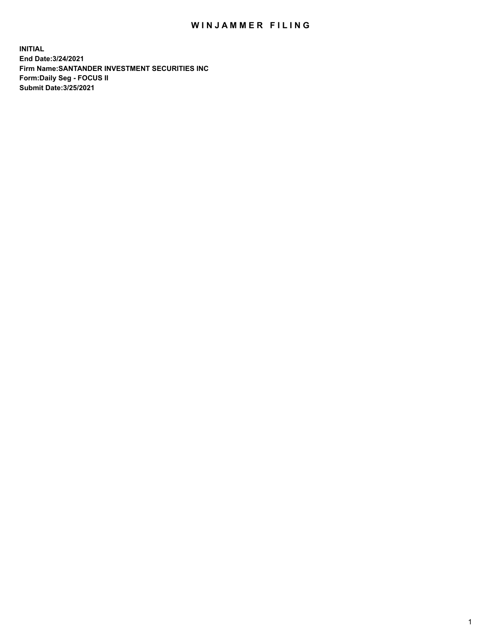## WIN JAMMER FILING

**INITIAL End Date:3/24/2021 Firm Name:SANTANDER INVESTMENT SECURITIES INC Form:Daily Seg - FOCUS II Submit Date:3/25/2021**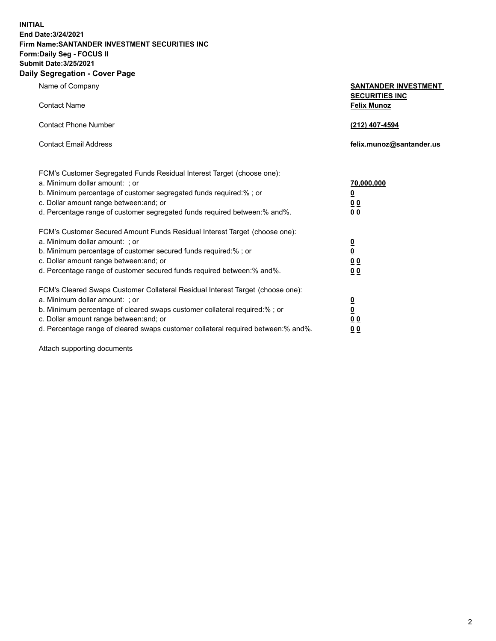**INITIAL End Date:3/24/2021 Firm Name:SANTANDER INVESTMENT SECURITIES INC Form:Daily Seg - FOCUS II Submit Date:3/25/2021 Daily Segregation - Cover Page**

| $\gamma$ ocgi cganon - oo $\gamma$ or i ago                                       |                                                      |
|-----------------------------------------------------------------------------------|------------------------------------------------------|
| Name of Company                                                                   | <b>SANTANDER INVESTMENT</b><br><b>SECURITIES INC</b> |
| <b>Contact Name</b>                                                               | <b>Felix Munoz</b>                                   |
| <b>Contact Phone Number</b>                                                       | (212) 407-4594                                       |
| <b>Contact Email Address</b>                                                      | felix.munoz@santander.us                             |
| FCM's Customer Segregated Funds Residual Interest Target (choose one):            |                                                      |
| a. Minimum dollar amount: ; or                                                    | 70,000,000                                           |
| b. Minimum percentage of customer segregated funds required:%; or                 | $\underline{\mathbf{0}}$                             |
| c. Dollar amount range between: and; or                                           | 0 <sub>0</sub>                                       |
| d. Percentage range of customer segregated funds required between:% and%.         | 0 <sub>0</sub>                                       |
| FCM's Customer Secured Amount Funds Residual Interest Target (choose one):        |                                                      |
| a. Minimum dollar amount: ; or                                                    | $\frac{0}{0}$                                        |
| b. Minimum percentage of customer secured funds required:%; or                    |                                                      |
| c. Dollar amount range between: and; or                                           | 0 <sub>0</sub>                                       |
| d. Percentage range of customer secured funds required between: % and %.          | 0 <sub>0</sub>                                       |
| FCM's Cleared Swaps Customer Collateral Residual Interest Target (choose one):    |                                                      |
| a. Minimum dollar amount: ; or                                                    | $\frac{0}{0}$                                        |
| b. Minimum percentage of cleared swaps customer collateral required:%; or         |                                                      |
| c. Dollar amount range between: and; or                                           | 00                                                   |
| d. Percentage range of cleared swaps customer collateral required between:% and%. | 00                                                   |

Attach supporting documents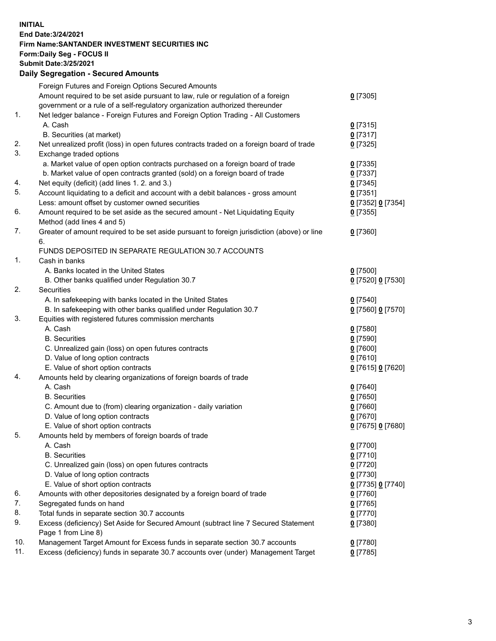**INITIAL End Date:3/24/2021 Firm Name:SANTANDER INVESTMENT SECURITIES INC Form:Daily Seg - FOCUS II Submit Date:3/25/2021 Daily Segregation - Secured Amounts**

|     | Foreign Futures and Foreign Options Secured Amounts                                         |                   |
|-----|---------------------------------------------------------------------------------------------|-------------------|
|     | Amount required to be set aside pursuant to law, rule or regulation of a foreign            | $0$ [7305]        |
|     | government or a rule of a self-regulatory organization authorized thereunder                |                   |
| 1.  | Net ledger balance - Foreign Futures and Foreign Option Trading - All Customers             |                   |
|     | A. Cash                                                                                     | $0$ [7315]        |
|     | B. Securities (at market)                                                                   | 0[7317]           |
| 2.  | Net unrealized profit (loss) in open futures contracts traded on a foreign board of trade   | $0$ [7325]        |
| 3.  | Exchange traded options                                                                     |                   |
|     | a. Market value of open option contracts purchased on a foreign board of trade              | $0$ [7335]        |
|     | b. Market value of open contracts granted (sold) on a foreign board of trade                | $0$ [7337]        |
| 4.  | Net equity (deficit) (add lines 1. 2. and 3.)                                               | $0$ [7345]        |
| 5.  | Account liquidating to a deficit and account with a debit balances - gross amount           | $0$ [7351]        |
|     | Less: amount offset by customer owned securities                                            | 0 [7352] 0 [7354] |
| 6.  | Amount required to be set aside as the secured amount - Net Liquidating Equity              | $0$ [7355]        |
|     | Method (add lines 4 and 5)                                                                  |                   |
| 7.  | Greater of amount required to be set aside pursuant to foreign jurisdiction (above) or line | $0$ [7360]        |
|     | 6.                                                                                          |                   |
|     | FUNDS DEPOSITED IN SEPARATE REGULATION 30.7 ACCOUNTS                                        |                   |
| 1.  | Cash in banks                                                                               |                   |
|     | A. Banks located in the United States                                                       | $0$ [7500]        |
|     | B. Other banks qualified under Regulation 30.7                                              | 0 [7520] 0 [7530] |
| 2.  | Securities                                                                                  |                   |
|     | A. In safekeeping with banks located in the United States                                   | $0$ [7540]        |
|     | B. In safekeeping with other banks qualified under Regulation 30.7                          | 0 [7560] 0 [7570] |
| 3.  | Equities with registered futures commission merchants                                       |                   |
|     | A. Cash                                                                                     | $0$ [7580]        |
|     | <b>B.</b> Securities                                                                        | $0$ [7590]        |
|     | C. Unrealized gain (loss) on open futures contracts                                         | $0$ [7600]        |
|     | D. Value of long option contracts                                                           | $0$ [7610]        |
|     | E. Value of short option contracts                                                          | 0 [7615] 0 [7620] |
| 4.  | Amounts held by clearing organizations of foreign boards of trade                           |                   |
|     | A. Cash                                                                                     | $0$ [7640]        |
|     | <b>B.</b> Securities                                                                        | $0$ [7650]        |
|     | C. Amount due to (from) clearing organization - daily variation                             | $0$ [7660]        |
|     | D. Value of long option contracts                                                           | $0$ [7670]        |
|     | E. Value of short option contracts                                                          | 0 [7675] 0 [7680] |
| 5.  | Amounts held by members of foreign boards of trade                                          |                   |
|     | A. Cash                                                                                     | $0$ [7700]        |
|     | <b>B.</b> Securities                                                                        | $0$ [7710]        |
|     | C. Unrealized gain (loss) on open futures contracts                                         | $0$ [7720]        |
|     | D. Value of long option contracts                                                           | $0$ [7730]        |
|     | E. Value of short option contracts                                                          | 0 [7735] 0 [7740] |
| 6.  | Amounts with other depositories designated by a foreign board of trade                      | $0$ [7760]        |
| 7.  | Segregated funds on hand                                                                    | $0$ [7765]        |
| 8.  | Total funds in separate section 30.7 accounts                                               | $0$ [7770]        |
| 9.  | Excess (deficiency) Set Aside for Secured Amount (subtract line 7 Secured Statement         | 0 [7380]          |
|     | Page 1 from Line 8)                                                                         |                   |
| 10. | Management Target Amount for Excess funds in separate section 30.7 accounts                 | $0$ [7780]        |
| 11. | Excess (deficiency) funds in separate 30.7 accounts over (under) Management Target          | $0$ [7785]        |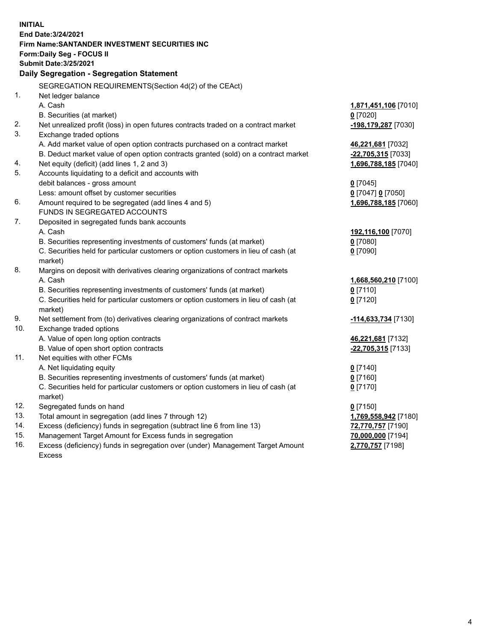| <b>INITIAL</b> |                                                                                     |                      |
|----------------|-------------------------------------------------------------------------------------|----------------------|
|                | End Date: 3/24/2021<br>Firm Name: SANTANDER INVESTMENT SECURITIES INC               |                      |
|                | <b>Form:Daily Seg - FOCUS II</b>                                                    |                      |
|                | <b>Submit Date: 3/25/2021</b>                                                       |                      |
|                | Daily Segregation - Segregation Statement                                           |                      |
|                |                                                                                     |                      |
|                | SEGREGATION REQUIREMENTS(Section 4d(2) of the CEAct)                                |                      |
| 1.             | Net ledger balance                                                                  |                      |
|                | A. Cash                                                                             | 1,871,451,106 [7010] |
|                | B. Securities (at market)                                                           | $0$ [7020]           |
| 2.             | Net unrealized profit (loss) in open futures contracts traded on a contract market  | -198,179,287 [7030]  |
| 3.             | Exchange traded options                                                             |                      |
|                | A. Add market value of open option contracts purchased on a contract market         | 46,221,681 [7032]    |
|                | B. Deduct market value of open option contracts granted (sold) on a contract market | -22,705,315 [7033]   |
| 4.<br>5.       | Net equity (deficit) (add lines 1, 2 and 3)                                         | 1,696,788,185 [7040] |
|                | Accounts liquidating to a deficit and accounts with                                 |                      |
|                | debit balances - gross amount<br>Less: amount offset by customer securities         | $0$ [7045]           |
| 6.             | Amount required to be segregated (add lines 4 and 5)                                | 0 [7047] 0 [7050]    |
|                | FUNDS IN SEGREGATED ACCOUNTS                                                        | 1,696,788,185 [7060] |
| 7.             | Deposited in segregated funds bank accounts                                         |                      |
|                | A. Cash                                                                             | 192,116,100 [7070]   |
|                | B. Securities representing investments of customers' funds (at market)              | $0$ [7080]           |
|                | C. Securities held for particular customers or option customers in lieu of cash (at | $0$ [7090]           |
|                | market)                                                                             |                      |
| 8.             | Margins on deposit with derivatives clearing organizations of contract markets      |                      |
|                | A. Cash                                                                             | 1,668,560,210 [7100] |
|                | B. Securities representing investments of customers' funds (at market)              | $0$ [7110]           |
|                | C. Securities held for particular customers or option customers in lieu of cash (at | $0$ [7120]           |
|                | market)                                                                             |                      |
| 9.             | Net settlement from (to) derivatives clearing organizations of contract markets     | -114,633,734 [7130]  |
| 10.            | Exchange traded options                                                             |                      |
|                | A. Value of open long option contracts                                              | 46,221,681 [7132]    |
|                | B. Value of open short option contracts                                             | $-22,705,315$ [7133] |
| 11.            | Net equities with other FCMs                                                        |                      |
|                | A. Net liquidating equity                                                           | $0$ [7140]           |
|                | B. Securities representing investments of customers' funds (at market)              | $0$ [7160]           |
|                | C. Securities held for particular customers or option customers in lieu of cash (at | $0$ [7170]           |
|                | market)                                                                             |                      |
| 12.            | Segregated funds on hand                                                            | $0$ [7150]           |
| 13.            | Total amount in segregation (add lines 7 through 12)                                | 1,769,558,942 [7180] |
| 14.            | Excess (deficiency) funds in segregation (subtract line 6 from line 13)             | 72,770,757 [7190]    |
| 15.            | Management Target Amount for Excess funds in segregation                            | 70,000,000 [7194]    |
| 16.            | Excess (deficiency) funds in segregation over (under) Management Target Amount      | 2,770,757 [7198]     |
|                | <b>Excess</b>                                                                       |                      |